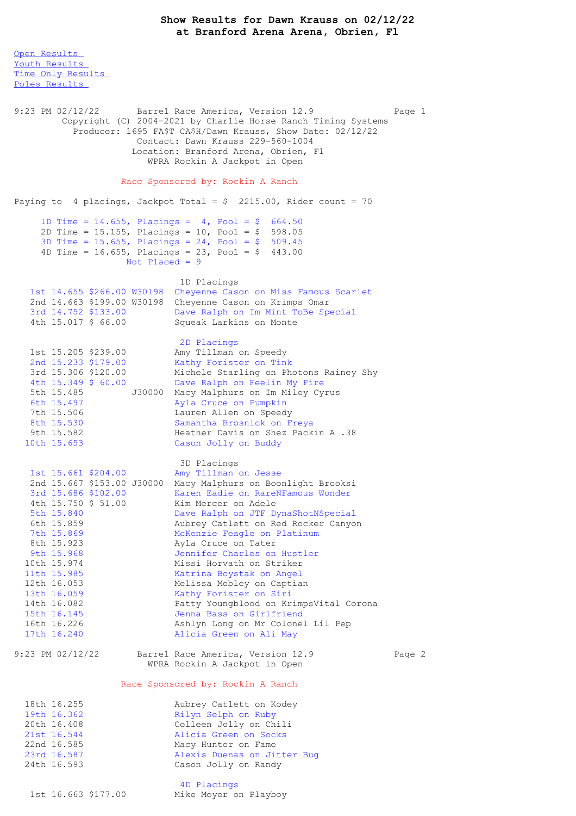**Show Results for Dawn Krauss on 02/12/22 at Branford Arena Arena, Obrien, Fl**

Open [Results](file:///C:/Users/flori/Downloads/Show_Results_Dawn_Krauss_02_12_22.html#Open) Youth [Results](file:///C:/Users/flori/Downloads/Show_Results_Dawn_Krauss_02_12_22.html#Youth) Time Only [Results](file:///C:/Users/flori/Downloads/Show_Results_Dawn_Krauss_02_12_22.html#Time%20Only) Poles [Results](file:///C:/Users/flori/Downloads/Show_Results_Dawn_Krauss_02_12_22.html#Poles) 9:23 PM 02/12/22 Barrel Race America, Version 12.9 Page 1 Copyright (C) 2004-2021 by Charlie Horse Ranch Timing Systems Producer: 1695 FA\$T CA\$H/Dawn Krauss, Show Date: 02/12/22 Contact: Dawn Krauss 229-560-1004 Location: Branford Arena, Obrien, Fl WPRA Rockin A Jackpot in Open Race Sponsored by: Rockin A Ranch Paying to 4 placings, Jackpot Total =  $$2215.00$ , Rider count = 70 1D Time =  $14.655$ , Placings =  $4$ , Pool = \$ 664.50 2D Time = 15.155, Placings = 10, Pool =  $$598.05$ 3D Time = 15.655, Placings = 24, Pool = \$ 509.45 4D Time = 16.655, Placings = 23, Pool =  $$$  443.00 Not Placed  $= 9$ 1D Placings 1st 14.655 \$266.00 W30198 Cheyenne Cason on Miss Famous Scarlet 2nd 14.663 \$199.00 W30198 Cheyenne Cason on Krimps Omar 3rd 14.752 \$133.00 Dave Ralph on Im Mint ToBe Special<br>4th 15.017 \$ 66.00 Squeak Larkins on Monte Squeak Larkins on Monte 2D Placings 1st 15.205 \$239.00 Amy Tillman on Speedy 2nd 15.233 \$179.00 Kathy Forister on Tink 3rd 15.306 \$120.00 Michele Starling on Photons Rainey Shy 4th 15.349 \$ 60.00 Dave Ralph on Feelin My Fire 5th 15.485 J30000 Macy Malphurs on Im Miley Cyrus<br>6th 15.497 Ayla Cruce on Pumpkin 6th 15.497 <br>
The 15.506 <br>
The Lauren Allen on Speed 7th 15.506 Lauren Allen on Speedy 8th 15.530 Samantha Brosnick on Freya Heather Davis on Shez Packin A .38 10th 15.653 Cason Jolly on Buddy 3D Placings 1st 15.661 \$204.00 Amy Tillman on Jesse 2nd 15.667 \$153.00 J30000 Macy Malphurs on Boonlight Brooksi 3rd 15.686 \$102.00 Karen Eadie on RareNFamous Wonder 4th 15.750 \$ 51.00 Kim Mercer on Adele 5th 15.840 Dave Ralph on JTF DynaShotNSpecial 6th 15.859 Aubrey Catlett on Red Rocker Canyon 7th 15.869 McKenzie Feagle on Platinum 8th 15.923 Ayla Cruce on Tater 9th 15.968 Jennifer Charles on Hustler 10th 15.974 Missi Horvath on Striker 11th 15.985 Katrina Boystak on Angel 12th 16.053 Melissa Mobley on Captian 13th 16.059 Kathy Forister on Siri 14th 16.082 Patty Youngblood on KrimpsVital Corona 15th 16.145 Jenna Bass on Girlfriend 16th 16.226 Ashlyn Long on Mr Colonel Lil Pep Alicia Green on Ali May 9:23 PM 02/12/22 Barrel Race America, Version 12.9 Page 2 WPRA Rockin A Jackpot in Open Race Sponsored by: Rockin A Ranch 18th 16.255 Aubrey Catlett on Kodey<br>19th 16.362 Rilyn Selph on Ruby 19th 16.362 Rilyn Selph on Ruby 20th 16.408 Colleen Jolly on Chili<br>21st 16.544 Alicia Green on Socks<br>22nd 16.585 Macy Hunter on Fame 21st 16.544 Alicia Green on Socks 22nd 16.585 Macy Hunter on Fame 23rd 16.587 Alexis Duenas on Jitter Bug 24th 16.593 Cason Jolly on Randy 4D Placings

1st 16.663 \$177.00 Mike Moyer on Playboy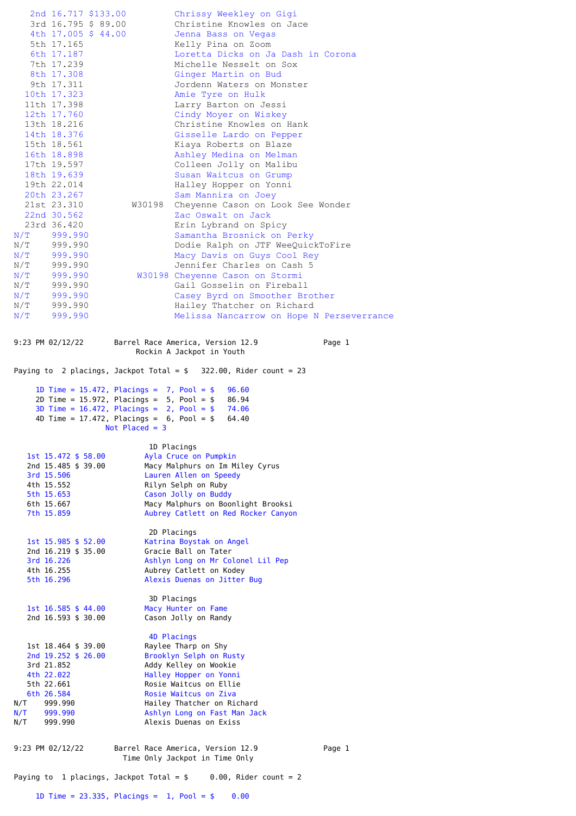|                                                                                              | 2nd 16.717 \$133.00<br>3rd 16.795 \$ 89.00<br>4th 17.005 \$ 44.00<br>5th 17.165<br>6th 17.187<br>7th 17.239<br>8th 17.308<br>9th 17.311<br>10th 17.323<br>11th 17.398<br>12th 17.760<br>13th 18.216<br>14th 18.376<br>15th 18.561<br>16th 18.898<br>17th 19.597<br>18th 19.639<br>19th 22.014<br>20th 23.267<br>21st 23.310<br>22nd 30.562 | W30198           | Chrissy Weekley on Gigi<br>Christine Knowles on Jace<br>Jenna Bass on Vegas<br>Kelly Pina on Zoom<br>Loretta Dicks on Ja Dash in Corona<br>Michelle Nesselt on Sox<br>Ginger Martin on Bud<br>Jordenn Waters on Monster<br>Amie Tyre on Hulk<br>Larry Barton on Jessi<br>Cindy Moyer on Wiskey<br>Christine Knowles on Hank<br>Gisselle Lardo on Pepper<br>Kiaya Roberts on Blaze<br>Ashley Medina on Melman<br>Colleen Jolly on Malibu<br>Susan Waitcus on Grump<br>Halley Hopper on Yonni<br>Sam Mannira on Joey<br>Cheyenne Cason on Look See Wonder<br>Zac Oswalt on Jack |  |
|----------------------------------------------------------------------------------------------|--------------------------------------------------------------------------------------------------------------------------------------------------------------------------------------------------------------------------------------------------------------------------------------------------------------------------------------------|------------------|-------------------------------------------------------------------------------------------------------------------------------------------------------------------------------------------------------------------------------------------------------------------------------------------------------------------------------------------------------------------------------------------------------------------------------------------------------------------------------------------------------------------------------------------------------------------------------|--|
| N/T                                                                                          | 23rd 36.420<br>$N/T$ 999.990<br>999.990<br>N/T 999.990<br>N/T 999.990                                                                                                                                                                                                                                                                      |                  | Erin Lybrand on Spicy<br>Samantha Brosnick on Perky<br>Dodie Ralph on JTF WeeQuickToFire<br>Macy Davis on Guys Cool Rey<br>Jennifer Charles on Cash 5                                                                                                                                                                                                                                                                                                                                                                                                                         |  |
| N/T                                                                                          | N/T 999.990<br>N/T 999.990<br>$N/T$ 999.990<br>N/T 999.990<br>999.990                                                                                                                                                                                                                                                                      |                  | W30198 Cheyenne Cason on Stormi<br>Gail Gosselin on Fireball<br>Casey Byrd on Smoother Brother<br>Hailey Thatcher on Richard<br>Melissa Nancarrow on Hope N Perseverrance                                                                                                                                                                                                                                                                                                                                                                                                     |  |
| Barrel Race America, Version 12.9<br>9:23 PM 02/12/22<br>Page 1<br>Rockin A Jackpot in Youth |                                                                                                                                                                                                                                                                                                                                            |                  |                                                                                                                                                                                                                                                                                                                                                                                                                                                                                                                                                                               |  |
| Paying to 2 placings, Jackpot Total = $$322.00$ , Rider count = 23                           |                                                                                                                                                                                                                                                                                                                                            |                  |                                                                                                                                                                                                                                                                                                                                                                                                                                                                                                                                                                               |  |
| 1D Time = $15.472$ , Placings = 7, Pool = \$<br>96.60                                        |                                                                                                                                                                                                                                                                                                                                            |                  |                                                                                                                                                                                                                                                                                                                                                                                                                                                                                                                                                                               |  |
|                                                                                              |                                                                                                                                                                                                                                                                                                                                            |                  |                                                                                                                                                                                                                                                                                                                                                                                                                                                                                                                                                                               |  |
|                                                                                              | 2D Time = $15.972$ , Placings = $5$ , Pool = \$                                                                                                                                                                                                                                                                                            |                  | 86.94                                                                                                                                                                                                                                                                                                                                                                                                                                                                                                                                                                         |  |
|                                                                                              | 4D Time = $17.472$ , Placings = $6$ , Pool = \$                                                                                                                                                                                                                                                                                            | Not Placed = $3$ | 3D Time = $16.472$ , Placings = $2$ , Pool = $$74.06$<br>64.40                                                                                                                                                                                                                                                                                                                                                                                                                                                                                                                |  |
|                                                                                              | 1st 15.472 \$ 58.00<br>2nd 15.485 \$ 39.00<br>3rd 15.506<br>4th 15.552<br>5th 15.653<br>6th 15.667<br>7th 15.859                                                                                                                                                                                                                           |                  | 1D Placings<br>Ayla Cruce on Pumpkin<br>Macy Malphurs on Im Miley Cyrus<br>Lauren Allen on Speedy<br>Rilyn Selph on Ruby<br>Cason Jolly on Buddy<br>Macy Malphurs on Boonlight Brooksi<br>Aubrey Catlett on Red Rocker Canyon                                                                                                                                                                                                                                                                                                                                                 |  |
|                                                                                              | 1st 15.985 \$ 52.00<br>2nd 16.219 \$ 35.00<br>3rd 16.226<br>4th 16.255<br>5th 16.296                                                                                                                                                                                                                                                       |                  | 2D Placings<br>Katrina Boystak on Angel<br>Gracie Ball on Tater<br>Ashlyn Long on Mr Colonel Lil Pep<br>Aubrey Catlett on Kodey<br>Alexis Duenas on Jitter Bug                                                                                                                                                                                                                                                                                                                                                                                                                |  |
|                                                                                              | 1st $16.585 \div 44.00$<br>2nd 16.593 \$ 30.00                                                                                                                                                                                                                                                                                             |                  | 3D Placings<br>Macy Hunter on Fame<br>Cason Jolly on Randy                                                                                                                                                                                                                                                                                                                                                                                                                                                                                                                    |  |
| N/T 999.990<br>N/T 999.990<br>N/T 999.990                                                    | 1st 18.464 \$ 39.00<br>2nd 19.252 \$ 26.00<br>3rd 21.852<br>4th 22.022<br>5th 22.661<br>6th 26.584                                                                                                                                                                                                                                         |                  | 4D Placings<br>Raylee Tharp on Shy<br>Brooklyn Selph on Rusty<br>Addy Kelley on Wookie<br>Halley Hopper on Yonni<br>Rosie Waitcus on Ellie<br>Rosie Waitcus on Ziva<br>Hailey Thatcher on Richard<br>Ashlyn Long on Fast Man Jack<br>Alexis Duenas on Exiss                                                                                                                                                                                                                                                                                                                   |  |
|                                                                                              | $9:23$ PM $02/12/22$                                                                                                                                                                                                                                                                                                                       |                  | Barrel Race America, Version 12.9<br>Page 1<br>Time Only Jackpot in Time Only                                                                                                                                                                                                                                                                                                                                                                                                                                                                                                 |  |
|                                                                                              |                                                                                                                                                                                                                                                                                                                                            |                  | Paying to 1 placings, Jackpot Total = $$ 0.00$ , Rider count = 2                                                                                                                                                                                                                                                                                                                                                                                                                                                                                                              |  |

1D Time = 23.335, Placings = 1, Pool = \$ 0.00